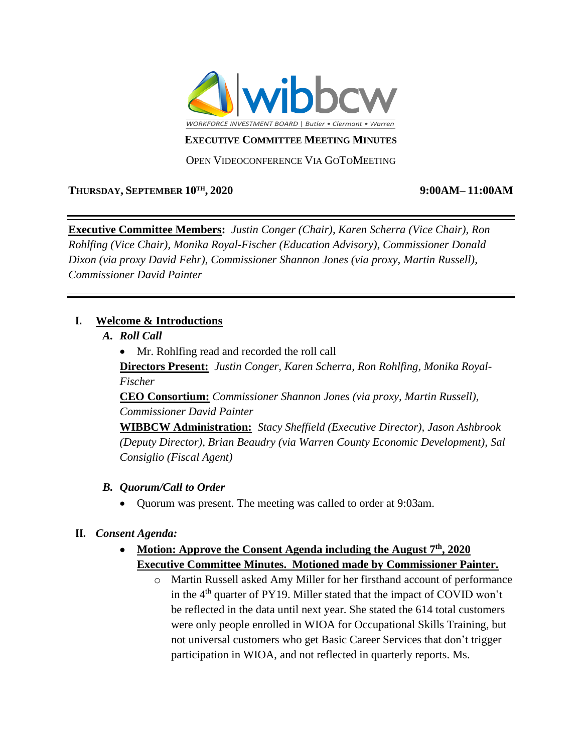

#### **EXECUTIVE COMMITTEE MEETING MINUTES**

OPEN VIDEOCONFERENCE VIA GOTOMEETING

### **THURSDAY, SEPTEMBER 10TH**

#### **, 2020 9:00AM– 11:00AM**

**Executive Committee Members:** *Justin Conger (Chair), Karen Scherra (Vice Chair), Ron Rohlfing (Vice Chair), Monika Royal-Fischer (Education Advisory), Commissioner Donald Dixon (via proxy David Fehr), Commissioner Shannon Jones (via proxy, Martin Russell), Commissioner David Painter*

### **I. Welcome & Introductions**

- *A. Roll Call*
	- Mr. Rohlfing read and recorded the roll call

**Directors Present:** *Justin Conger, Karen Scherra, Ron Rohlfing, Monika Royal-Fischer*

**CEO Consortium:** *Commissioner Shannon Jones (via proxy, Martin Russell), Commissioner David Painter*

**WIBBCW Administration:** *Stacy Sheffield (Executive Director), Jason Ashbrook (Deputy Director), Brian Beaudry (via Warren County Economic Development), Sal Consiglio (Fiscal Agent)* 

### *B. Quorum/Call to Order*

• Quorum was present. The meeting was called to order at 9:03am.

### **II.** *Consent Agenda:*

- **Motion: Approve the Consent Agenda including the August 7th, 2020 Executive Committee Minutes. Motioned made by Commissioner Painter.**
	- o Martin Russell asked Amy Miller for her firsthand account of performance in the  $4<sup>th</sup>$  quarter of PY19. Miller stated that the impact of COVID won't be reflected in the data until next year. She stated the 614 total customers were only people enrolled in WIOA for Occupational Skills Training, but not universal customers who get Basic Career Services that don't trigger participation in WIOA, and not reflected in quarterly reports. Ms.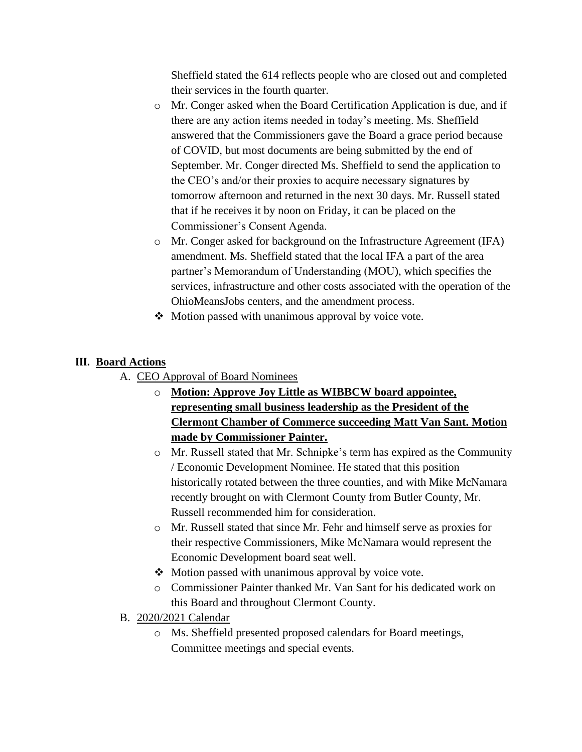Sheffield stated the 614 reflects people who are closed out and completed their services in the fourth quarter.

- o Mr. Conger asked when the Board Certification Application is due, and if there are any action items needed in today's meeting. Ms. Sheffield answered that the Commissioners gave the Board a grace period because of COVID, but most documents are being submitted by the end of September. Mr. Conger directed Ms. Sheffield to send the application to the CEO's and/or their proxies to acquire necessary signatures by tomorrow afternoon and returned in the next 30 days. Mr. Russell stated that if he receives it by noon on Friday, it can be placed on the Commissioner's Consent Agenda.
- o Mr. Conger asked for background on the Infrastructure Agreement (IFA) amendment. Ms. Sheffield stated that the local IFA a part of the area partner's Memorandum of Understanding (MOU), which specifies the services, infrastructure and other costs associated with the operation of the OhioMeansJobs centers, and the amendment process.
- ❖ Motion passed with unanimous approval by voice vote.

### **III. Board Actions**

- A. CEO Approval of Board Nominees
	- o **Motion: Approve Joy Little as WIBBCW board appointee, representing small business leadership as the President of the Clermont Chamber of Commerce succeeding Matt Van Sant. Motion made by Commissioner Painter.**
	- o Mr. Russell stated that Mr. Schnipke's term has expired as the Community / Economic Development Nominee. He stated that this position historically rotated between the three counties, and with Mike McNamara recently brought on with Clermont County from Butler County, Mr. Russell recommended him for consideration.
	- o Mr. Russell stated that since Mr. Fehr and himself serve as proxies for their respective Commissioners, Mike McNamara would represent the Economic Development board seat well.
	- ❖ Motion passed with unanimous approval by voice vote.
	- o Commissioner Painter thanked Mr. Van Sant for his dedicated work on this Board and throughout Clermont County.
- B. 2020/2021 Calendar
	- o Ms. Sheffield presented proposed calendars for Board meetings, Committee meetings and special events.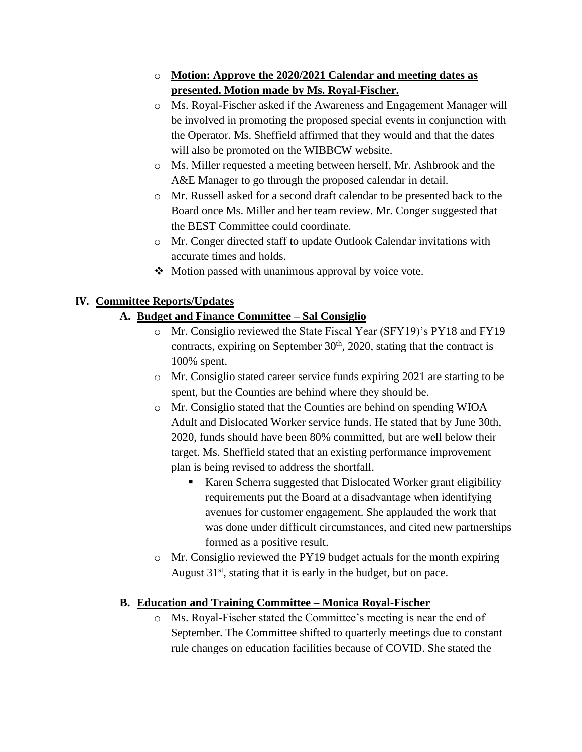# o **Motion: Approve the 2020/2021 Calendar and meeting dates as presented. Motion made by Ms. Royal-Fischer.**

- o Ms. Royal-Fischer asked if the Awareness and Engagement Manager will be involved in promoting the proposed special events in conjunction with the Operator. Ms. Sheffield affirmed that they would and that the dates will also be promoted on the WIBBCW website.
- o Ms. Miller requested a meeting between herself, Mr. Ashbrook and the A&E Manager to go through the proposed calendar in detail.
- o Mr. Russell asked for a second draft calendar to be presented back to the Board once Ms. Miller and her team review. Mr. Conger suggested that the BEST Committee could coordinate.
- o Mr. Conger directed staff to update Outlook Calendar invitations with accurate times and holds.
- ❖ Motion passed with unanimous approval by voice vote.

## **IV. Committee Reports/Updates**

# **A. Budget and Finance Committee – Sal Consiglio**

- o Mr. Consiglio reviewed the State Fiscal Year (SFY19)'s PY18 and FY19 contracts, expiring on September  $30<sup>th</sup>$ , 2020, stating that the contract is 100% spent.
- o Mr. Consiglio stated career service funds expiring 2021 are starting to be spent, but the Counties are behind where they should be.
- o Mr. Consiglio stated that the Counties are behind on spending WIOA Adult and Dislocated Worker service funds. He stated that by June 30th, 2020, funds should have been 80% committed, but are well below their target. Ms. Sheffield stated that an existing performance improvement plan is being revised to address the shortfall.
	- Karen Scherra suggested that Dislocated Worker grant eligibility requirements put the Board at a disadvantage when identifying avenues for customer engagement. She applauded the work that was done under difficult circumstances, and cited new partnerships formed as a positive result.
- o Mr. Consiglio reviewed the PY19 budget actuals for the month expiring August  $31<sup>st</sup>$ , stating that it is early in the budget, but on pace.

### **B. Education and Training Committee – Monica Royal-Fischer**

o Ms. Royal-Fischer stated the Committee's meeting is near the end of September. The Committee shifted to quarterly meetings due to constant rule changes on education facilities because of COVID. She stated the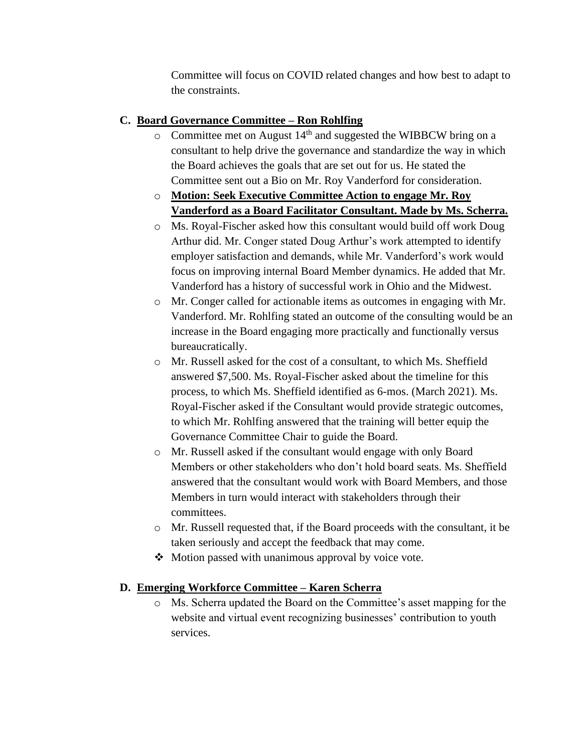Committee will focus on COVID related changes and how best to adapt to the constraints.

# **C. Board Governance Committee – Ron Rohlfing**

- $\circ$  Committee met on August 14<sup>th</sup> and suggested the WIBBCW bring on a consultant to help drive the governance and standardize the way in which the Board achieves the goals that are set out for us. He stated the Committee sent out a Bio on Mr. Roy Vanderford for consideration.
- o **Motion: Seek Executive Committee Action to engage Mr. Roy Vanderford as a Board Facilitator Consultant. Made by Ms. Scherra.**
- o Ms. Royal-Fischer asked how this consultant would build off work Doug Arthur did. Mr. Conger stated Doug Arthur's work attempted to identify employer satisfaction and demands, while Mr. Vanderford's work would focus on improving internal Board Member dynamics. He added that Mr. Vanderford has a history of successful work in Ohio and the Midwest.
- o Mr. Conger called for actionable items as outcomes in engaging with Mr. Vanderford. Mr. Rohlfing stated an outcome of the consulting would be an increase in the Board engaging more practically and functionally versus bureaucratically.
- o Mr. Russell asked for the cost of a consultant, to which Ms. Sheffield answered \$7,500. Ms. Royal-Fischer asked about the timeline for this process, to which Ms. Sheffield identified as 6-mos. (March 2021). Ms. Royal-Fischer asked if the Consultant would provide strategic outcomes, to which Mr. Rohlfing answered that the training will better equip the Governance Committee Chair to guide the Board.
- o Mr. Russell asked if the consultant would engage with only Board Members or other stakeholders who don't hold board seats. Ms. Sheffield answered that the consultant would work with Board Members, and those Members in turn would interact with stakeholders through their committees.
- o Mr. Russell requested that, if the Board proceeds with the consultant, it be taken seriously and accept the feedback that may come.
- ❖ Motion passed with unanimous approval by voice vote.

### **D. Emerging Workforce Committee – Karen Scherra**

o Ms. Scherra updated the Board on the Committee's asset mapping for the website and virtual event recognizing businesses' contribution to youth services.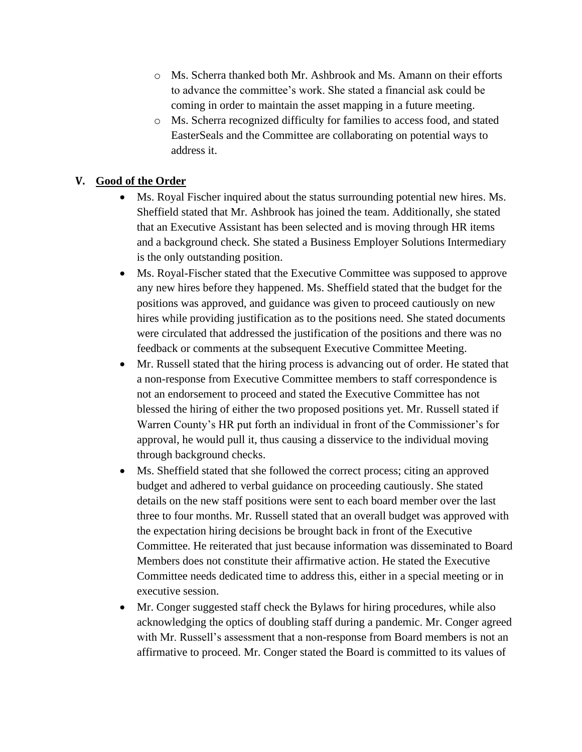- o Ms. Scherra thanked both Mr. Ashbrook and Ms. Amann on their efforts to advance the committee's work. She stated a financial ask could be coming in order to maintain the asset mapping in a future meeting.
- o Ms. Scherra recognized difficulty for families to access food, and stated EasterSeals and the Committee are collaborating on potential ways to address it.

### **V. Good of the Order**

- Ms. Royal Fischer inquired about the status surrounding potential new hires. Ms. Sheffield stated that Mr. Ashbrook has joined the team. Additionally, she stated that an Executive Assistant has been selected and is moving through HR items and a background check. She stated a Business Employer Solutions Intermediary is the only outstanding position.
- Ms. Royal-Fischer stated that the Executive Committee was supposed to approve any new hires before they happened. Ms. Sheffield stated that the budget for the positions was approved, and guidance was given to proceed cautiously on new hires while providing justification as to the positions need. She stated documents were circulated that addressed the justification of the positions and there was no feedback or comments at the subsequent Executive Committee Meeting.
- Mr. Russell stated that the hiring process is advancing out of order. He stated that a non-response from Executive Committee members to staff correspondence is not an endorsement to proceed and stated the Executive Committee has not blessed the hiring of either the two proposed positions yet. Mr. Russell stated if Warren County's HR put forth an individual in front of the Commissioner's for approval, he would pull it, thus causing a disservice to the individual moving through background checks.
- Ms. Sheffield stated that she followed the correct process; citing an approved budget and adhered to verbal guidance on proceeding cautiously. She stated details on the new staff positions were sent to each board member over the last three to four months. Mr. Russell stated that an overall budget was approved with the expectation hiring decisions be brought back in front of the Executive Committee. He reiterated that just because information was disseminated to Board Members does not constitute their affirmative action. He stated the Executive Committee needs dedicated time to address this, either in a special meeting or in executive session.
- Mr. Conger suggested staff check the Bylaws for hiring procedures, while also acknowledging the optics of doubling staff during a pandemic. Mr. Conger agreed with Mr. Russell's assessment that a non-response from Board members is not an affirmative to proceed. Mr. Conger stated the Board is committed to its values of